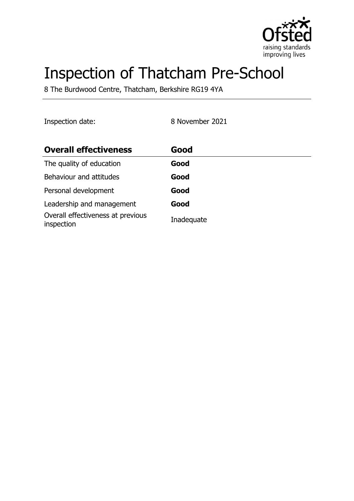

# Inspection of Thatcham Pre-School

8 The Burdwood Centre, Thatcham, Berkshire RG19 4YA

Inspection date: 8 November 2021

| <b>Overall effectiveness</b>                    | Good       |
|-------------------------------------------------|------------|
| The quality of education                        | Good       |
| Behaviour and attitudes                         | Good       |
| Personal development                            | Good       |
| Leadership and management                       | Good       |
| Overall effectiveness at previous<br>inspection | Inadequate |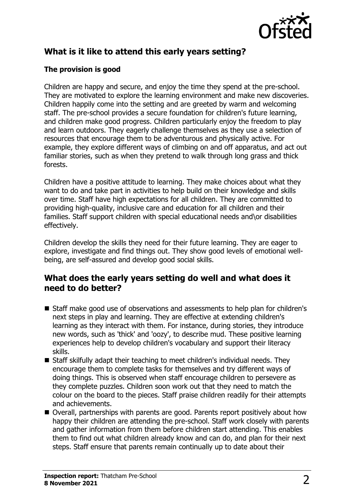

# **What is it like to attend this early years setting?**

### **The provision is good**

Children are happy and secure, and enjoy the time they spend at the pre-school. They are motivated to explore the learning environment and make new discoveries. Children happily come into the setting and are greeted by warm and welcoming staff. The pre-school provides a secure foundation for children's future learning, and children make good progress. Children particularly enjoy the freedom to play and learn outdoors. They eagerly challenge themselves as they use a selection of resources that encourage them to be adventurous and physically active. For example, they explore different ways of climbing on and off apparatus, and act out familiar stories, such as when they pretend to walk through long grass and thick forests.

Children have a positive attitude to learning. They make choices about what they want to do and take part in activities to help build on their knowledge and skills over time. Staff have high expectations for all children. They are committed to providing high-quality, inclusive care and education for all children and their families. Staff support children with special educational needs and\or disabilities effectively.

Children develop the skills they need for their future learning. They are eager to explore, investigate and find things out. They show good levels of emotional wellbeing, are self-assured and develop good social skills.

## **What does the early years setting do well and what does it need to do better?**

- Staff make good use of observations and assessments to help plan for children's next steps in play and learning. They are effective at extending children's learning as they interact with them. For instance, during stories, they introduce new words, such as 'thick' and 'oozy', to describe mud. These positive learning experiences help to develop children's vocabulary and support their literacy skills.
- $\blacksquare$  Staff skilfully adapt their teaching to meet children's individual needs. They encourage them to complete tasks for themselves and try different ways of doing things. This is observed when staff encourage children to persevere as they complete puzzles. Children soon work out that they need to match the colour on the board to the pieces. Staff praise children readily for their attempts and achievements.
- Overall, partnerships with parents are good. Parents report positively about how happy their children are attending the pre-school. Staff work closely with parents and gather information from them before children start attending. This enables them to find out what children already know and can do, and plan for their next steps. Staff ensure that parents remain continually up to date about their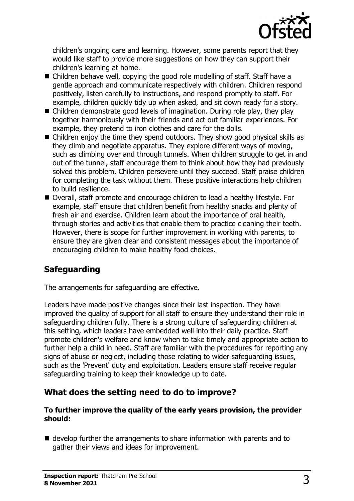

children's ongoing care and learning. However, some parents report that they would like staff to provide more suggestions on how they can support their children's learning at home.

- Children behave well, copying the good role modelling of staff. Staff have a gentle approach and communicate respectively with children. Children respond positively, listen carefully to instructions, and respond promptly to staff. For example, children quickly tidy up when asked, and sit down ready for a story.
- $\blacksquare$  Children demonstrate good levels of imagination. During role play, they play together harmoniously with their friends and act out familiar experiences. For example, they pretend to iron clothes and care for the dolls.
- $\blacksquare$  Children enjoy the time they spend outdoors. They show good physical skills as they climb and negotiate apparatus. They explore different ways of moving, such as climbing over and through tunnels. When children struggle to get in and out of the tunnel, staff encourage them to think about how they had previously solved this problem. Children persevere until they succeed. Staff praise children for completing the task without them. These positive interactions help children to build resilience.
- Overall, staff promote and encourage children to lead a healthy lifestyle. For example, staff ensure that children benefit from healthy snacks and plenty of fresh air and exercise. Children learn about the importance of oral health, through stories and activities that enable them to practice cleaning their teeth. However, there is scope for further improvement in working with parents, to ensure they are given clear and consistent messages about the importance of encouraging children to make healthy food choices.

## **Safeguarding**

The arrangements for safeguarding are effective.

Leaders have made positive changes since their last inspection. They have improved the quality of support for all staff to ensure they understand their role in safeguarding children fully. There is a strong culture of safeguarding children at this setting, which leaders have embedded well into their daily practice. Staff promote children's welfare and know when to take timely and appropriate action to further help a child in need. Staff are familiar with the procedures for reporting any signs of abuse or neglect, including those relating to wider safeguarding issues, such as the 'Prevent' duty and exploitation. Leaders ensure staff receive regular safeguarding training to keep their knowledge up to date.

## **What does the setting need to do to improve?**

#### **To further improve the quality of the early years provision, the provider should:**

 $\blacksquare$  develop further the arrangements to share information with parents and to gather their views and ideas for improvement.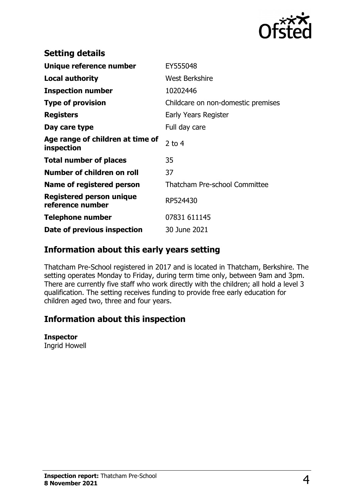

| <b>Setting details</b>                              |                                    |
|-----------------------------------------------------|------------------------------------|
| Unique reference number                             | EY555048                           |
| Local authority                                     | <b>West Berkshire</b>              |
| <b>Inspection number</b>                            | 10202446                           |
| <b>Type of provision</b>                            | Childcare on non-domestic premises |
| <b>Registers</b>                                    | Early Years Register               |
| Day care type                                       | Full day care                      |
| Age range of children at time of<br>inspection      | 2 to $4$                           |
| <b>Total number of places</b>                       | 35                                 |
| Number of children on roll                          | 37                                 |
| Name of registered person                           | Thatcham Pre-school Committee      |
| <b>Registered person unique</b><br>reference number | RP524430                           |
| <b>Telephone number</b>                             | 07831 611145                       |
| Date of previous inspection                         | 30 June 2021                       |

## **Information about this early years setting**

Thatcham Pre-School registered in 2017 and is located in Thatcham, Berkshire. The setting operates Monday to Friday, during term time only, between 9am and 3pm. There are currently five staff who work directly with the children; all hold a level 3 qualification. The setting receives funding to provide free early education for children aged two, three and four years.

## **Information about this inspection**

#### **Inspector**

Ingrid Howell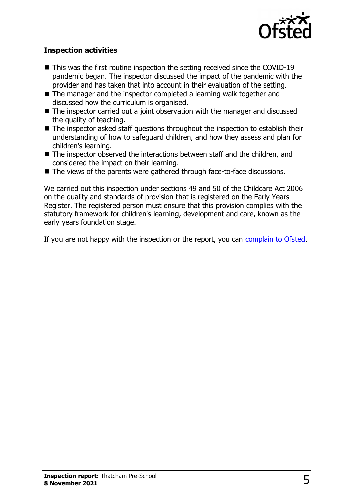

#### **Inspection activities**

- $\blacksquare$  This was the first routine inspection the setting received since the COVID-19 pandemic began. The inspector discussed the impact of the pandemic with the provider and has taken that into account in their evaluation of the setting.
- $\blacksquare$  The manager and the inspector completed a learning walk together and discussed how the curriculum is organised.
- $\blacksquare$  The inspector carried out a joint observation with the manager and discussed the quality of teaching.
- The inspector asked staff questions throughout the inspection to establish their understanding of how to safeguard children, and how they assess and plan for children's learning.
- The inspector observed the interactions between staff and the children, and considered the impact on their learning.
- The views of the parents were gathered through face-to-face discussions.

We carried out this inspection under sections 49 and 50 of the Childcare Act 2006 on the quality and standards of provision that is registered on the Early Years Register. The registered person must ensure that this provision complies with the statutory framework for children's learning, development and care, known as the early years foundation stage.

If you are not happy with the inspection or the report, you can [complain to Ofsted](http://www.gov.uk/complain-ofsted-report).